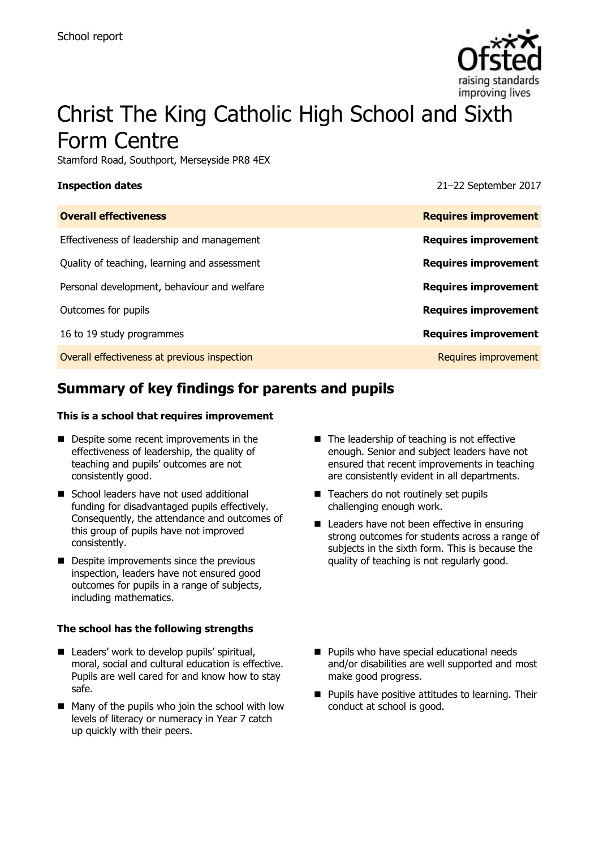

# Christ The King Catholic High School and Sixth Form Centre

Stamford Road, Southport, Merseyside PR8 4EX

**Inspection dates** 21–22 September 2017

| <b>Overall effectiveness</b>                 | <b>Requires improvement</b> |
|----------------------------------------------|-----------------------------|
| Effectiveness of leadership and management   | <b>Requires improvement</b> |
| Quality of teaching, learning and assessment | <b>Requires improvement</b> |
| Personal development, behaviour and welfare  | <b>Requires improvement</b> |
| Outcomes for pupils                          | <b>Requires improvement</b> |
| 16 to 19 study programmes                    | <b>Requires improvement</b> |
| Overall effectiveness at previous inspection | Requires improvement        |

# **Summary of key findings for parents and pupils**

#### **This is a school that requires improvement**

- Despite some recent improvements in the effectiveness of leadership, the quality of teaching and pupils' outcomes are not consistently good.
- School leaders have not used additional funding for disadvantaged pupils effectively. Consequently, the attendance and outcomes of this group of pupils have not improved consistently.
- **Despite improvements since the previous** inspection, leaders have not ensured good outcomes for pupils in a range of subjects, including mathematics.

#### **The school has the following strengths**

- Leaders' work to develop pupils' spiritual, moral, social and cultural education is effective. Pupils are well cared for and know how to stay safe.
- Many of the pupils who join the school with low levels of literacy or numeracy in Year 7 catch up quickly with their peers.
- $\blacksquare$  The leadership of teaching is not effective enough. Senior and subject leaders have not ensured that recent improvements in teaching are consistently evident in all departments.
- Teachers do not routinely set pupils challenging enough work.
- Leaders have not been effective in ensuring strong outcomes for students across a range of subjects in the sixth form. This is because the quality of teaching is not regularly good.
- **Pupils who have special educational needs** and/or disabilities are well supported and most make good progress.
- **Pupils have positive attitudes to learning. Their** conduct at school is good.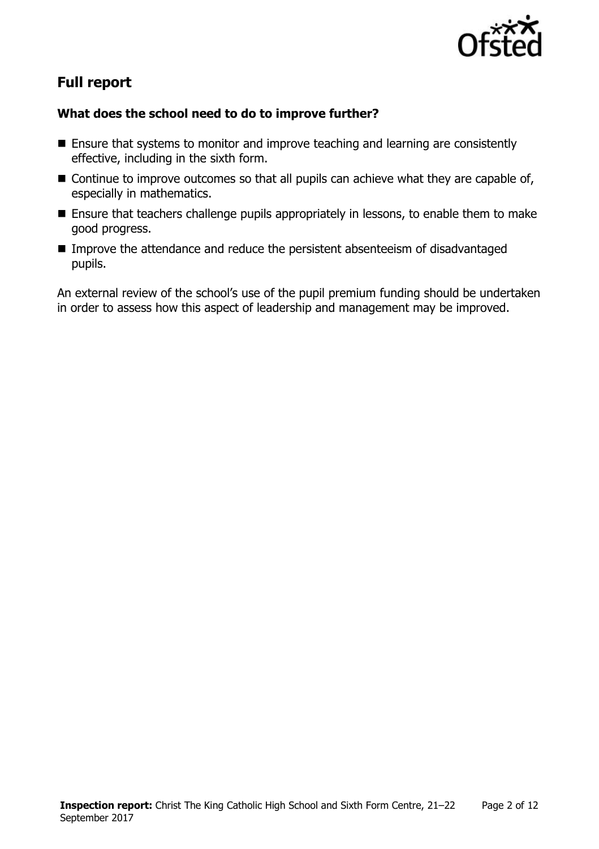

# **Full report**

### **What does the school need to do to improve further?**

- Ensure that systems to monitor and improve teaching and learning are consistently effective, including in the sixth form.
- Continue to improve outcomes so that all pupils can achieve what they are capable of, especially in mathematics.
- **E** Ensure that teachers challenge pupils appropriately in lessons, to enable them to make good progress.
- Improve the attendance and reduce the persistent absenteeism of disadvantaged pupils.

An external review of the school's use of the pupil premium funding should be undertaken in order to assess how this aspect of leadership and management may be improved.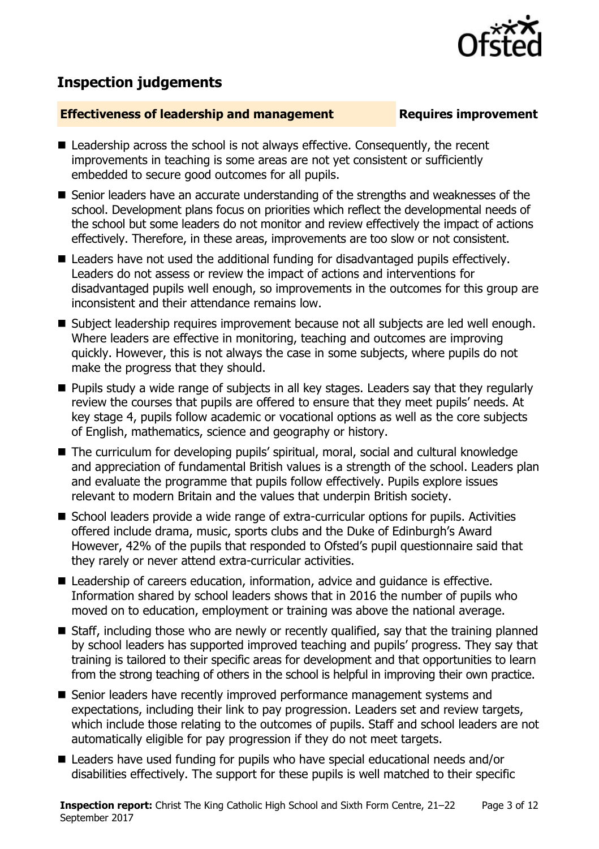# **Inspection judgements**

#### **Effectiveness of leadership and management Requires improvement**

- Leadership across the school is not always effective. Consequently, the recent improvements in teaching is some areas are not yet consistent or sufficiently embedded to secure good outcomes for all pupils.
- Senior leaders have an accurate understanding of the strengths and weaknesses of the school. Development plans focus on priorities which reflect the developmental needs of the school but some leaders do not monitor and review effectively the impact of actions effectively. Therefore, in these areas, improvements are too slow or not consistent.
- Leaders have not used the additional funding for disadvantaged pupils effectively. Leaders do not assess or review the impact of actions and interventions for disadvantaged pupils well enough, so improvements in the outcomes for this group are inconsistent and their attendance remains low.
- Subject leadership requires improvement because not all subjects are led well enough. Where leaders are effective in monitoring, teaching and outcomes are improving quickly. However, this is not always the case in some subjects, where pupils do not make the progress that they should.
- **Pupils study a wide range of subjects in all key stages. Leaders say that they regularly** review the courses that pupils are offered to ensure that they meet pupils' needs. At key stage 4, pupils follow academic or vocational options as well as the core subjects of English, mathematics, science and geography or history.
- The curriculum for developing pupils' spiritual, moral, social and cultural knowledge and appreciation of fundamental British values is a strength of the school. Leaders plan and evaluate the programme that pupils follow effectively. Pupils explore issues relevant to modern Britain and the values that underpin British society.
- School leaders provide a wide range of extra-curricular options for pupils. Activities offered include drama, music, sports clubs and the Duke of Edinburgh's Award However, 42% of the pupils that responded to Ofsted's pupil questionnaire said that they rarely or never attend extra-curricular activities.
- Leadership of careers education, information, advice and quidance is effective. Information shared by school leaders shows that in 2016 the number of pupils who moved on to education, employment or training was above the national average.
- Staff, including those who are newly or recently qualified, say that the training planned by school leaders has supported improved teaching and pupils' progress. They say that training is tailored to their specific areas for development and that opportunities to learn from the strong teaching of others in the school is helpful in improving their own practice.
- Senior leaders have recently improved performance management systems and expectations, including their link to pay progression. Leaders set and review targets, which include those relating to the outcomes of pupils. Staff and school leaders are not automatically eligible for pay progression if they do not meet targets.
- Leaders have used funding for pupils who have special educational needs and/or disabilities effectively. The support for these pupils is well matched to their specific

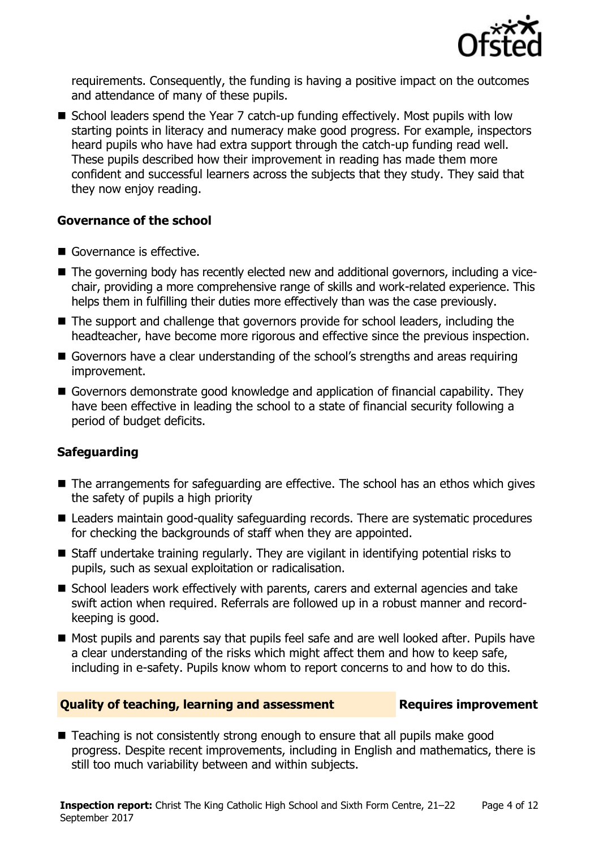

requirements. Consequently, the funding is having a positive impact on the outcomes and attendance of many of these pupils.

■ School leaders spend the Year 7 catch-up funding effectively. Most pupils with low starting points in literacy and numeracy make good progress. For example, inspectors heard pupils who have had extra support through the catch-up funding read well. These pupils described how their improvement in reading has made them more confident and successful learners across the subjects that they study. They said that they now enjoy reading.

### **Governance of the school**

- Governance is effective.
- The governing body has recently elected new and additional governors, including a vicechair, providing a more comprehensive range of skills and work-related experience. This helps them in fulfilling their duties more effectively than was the case previously.
- The support and challenge that governors provide for school leaders, including the headteacher, have become more rigorous and effective since the previous inspection.
- Governors have a clear understanding of the school's strengths and areas requiring improvement.
- Governors demonstrate good knowledge and application of financial capability. They have been effective in leading the school to a state of financial security following a period of budget deficits.

### **Safeguarding**

- The arrangements for safeguarding are effective. The school has an ethos which gives the safety of pupils a high priority
- Leaders maintain good-quality safeguarding records. There are systematic procedures for checking the backgrounds of staff when they are appointed.
- Staff undertake training regularly. They are vigilant in identifying potential risks to pupils, such as sexual exploitation or radicalisation.
- School leaders work effectively with parents, carers and external agencies and take swift action when required. Referrals are followed up in a robust manner and recordkeeping is good.
- Most pupils and parents say that pupils feel safe and are well looked after. Pupils have a clear understanding of the risks which might affect them and how to keep safe, including in e-safety. Pupils know whom to report concerns to and how to do this.

#### **Quality of teaching, learning and assessment Requires improvement**

■ Teaching is not consistently strong enough to ensure that all pupils make good progress. Despite recent improvements, including in English and mathematics, there is still too much variability between and within subjects.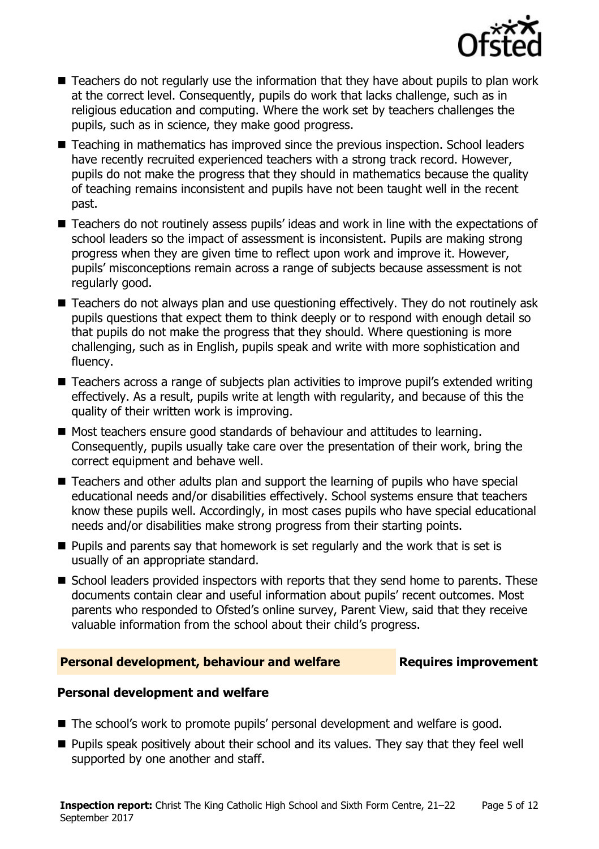

- Teachers do not regularly use the information that they have about pupils to plan work at the correct level. Consequently, pupils do work that lacks challenge, such as in religious education and computing. Where the work set by teachers challenges the pupils, such as in science, they make good progress.
- Teaching in mathematics has improved since the previous inspection. School leaders have recently recruited experienced teachers with a strong track record. However, pupils do not make the progress that they should in mathematics because the quality of teaching remains inconsistent and pupils have not been taught well in the recent past.
- Teachers do not routinely assess pupils' ideas and work in line with the expectations of school leaders so the impact of assessment is inconsistent. Pupils are making strong progress when they are given time to reflect upon work and improve it. However, pupils' misconceptions remain across a range of subjects because assessment is not regularly good.
- Teachers do not always plan and use questioning effectively. They do not routinely ask pupils questions that expect them to think deeply or to respond with enough detail so that pupils do not make the progress that they should. Where questioning is more challenging, such as in English, pupils speak and write with more sophistication and fluency.
- Teachers across a range of subjects plan activities to improve pupil's extended writing effectively. As a result, pupils write at length with regularity, and because of this the quality of their written work is improving.
- Most teachers ensure good standards of behaviour and attitudes to learning. Consequently, pupils usually take care over the presentation of their work, bring the correct equipment and behave well.
- Teachers and other adults plan and support the learning of pupils who have special educational needs and/or disabilities effectively. School systems ensure that teachers know these pupils well. Accordingly, in most cases pupils who have special educational needs and/or disabilities make strong progress from their starting points.
- $\blacksquare$  Pupils and parents say that homework is set regularly and the work that is set is usually of an appropriate standard.
- School leaders provided inspectors with reports that they send home to parents. These documents contain clear and useful information about pupils' recent outcomes. Most parents who responded to Ofsted's online survey, Parent View, said that they receive valuable information from the school about their child's progress.

#### **Personal development, behaviour and welfare Fig. 2.1 Requires improvement**

#### **Personal development and welfare**

- The school's work to promote pupils' personal development and welfare is good.
- **Pupils speak positively about their school and its values. They say that they feel well** supported by one another and staff.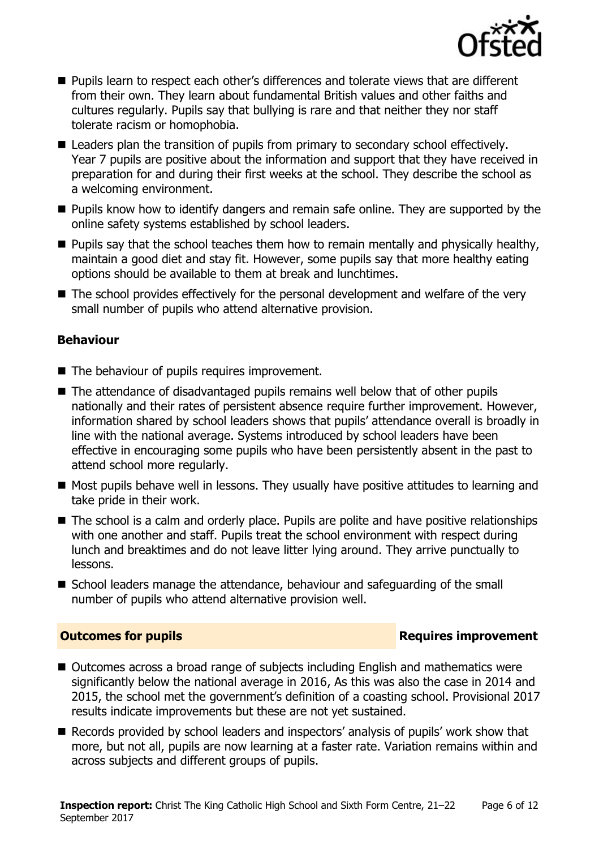

- **Pupils learn to respect each other's differences and tolerate views that are different** from their own. They learn about fundamental British values and other faiths and cultures regularly. Pupils say that bullying is rare and that neither they nor staff tolerate racism or homophobia.
- Leaders plan the transition of pupils from primary to secondary school effectively. Year 7 pupils are positive about the information and support that they have received in preparation for and during their first weeks at the school. They describe the school as a welcoming environment.
- **Pupils know how to identify dangers and remain safe online. They are supported by the** online safety systems established by school leaders.
- $\blacksquare$  Pupils say that the school teaches them how to remain mentally and physically healthy, maintain a good diet and stay fit. However, some pupils say that more healthy eating options should be available to them at break and lunchtimes.
- The school provides effectively for the personal development and welfare of the very small number of pupils who attend alternative provision.

### **Behaviour**

- The behaviour of pupils requires improvement.
- The attendance of disadvantaged pupils remains well below that of other pupils nationally and their rates of persistent absence require further improvement. However, information shared by school leaders shows that pupils' attendance overall is broadly in line with the national average. Systems introduced by school leaders have been effective in encouraging some pupils who have been persistently absent in the past to attend school more regularly.
- Most pupils behave well in lessons. They usually have positive attitudes to learning and take pride in their work.
- The school is a calm and orderly place. Pupils are polite and have positive relationships with one another and staff. Pupils treat the school environment with respect during lunch and breaktimes and do not leave litter lying around. They arrive punctually to lessons.
- School leaders manage the attendance, behaviour and safeguarding of the small number of pupils who attend alternative provision well.

### **Outcomes for pupils Requires improvement**

- Outcomes across a broad range of subjects including English and mathematics were significantly below the national average in 2016, As this was also the case in 2014 and 2015, the school met the government's definition of a coasting school. Provisional 2017 results indicate improvements but these are not yet sustained.
- Records provided by school leaders and inspectors' analysis of pupils' work show that more, but not all, pupils are now learning at a faster rate. Variation remains within and across subjects and different groups of pupils.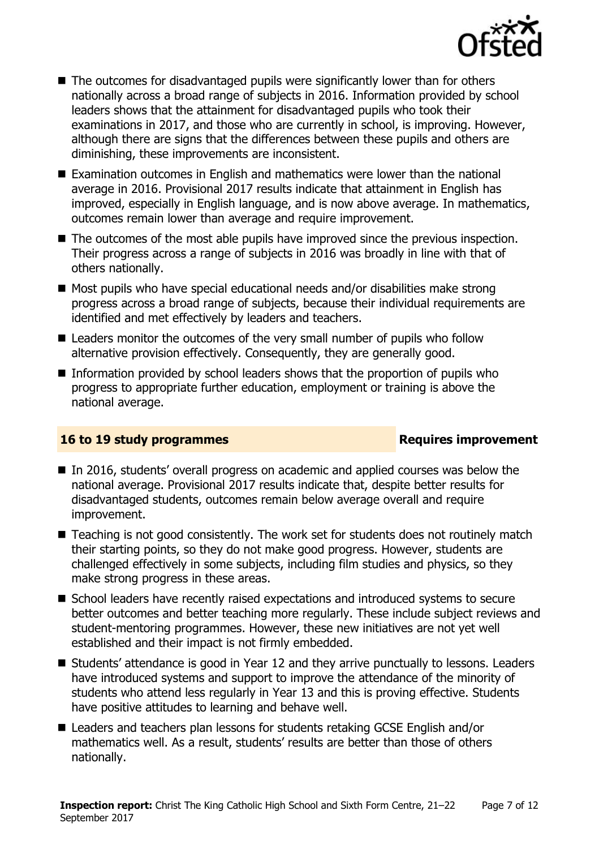

- The outcomes for disadvantaged pupils were significantly lower than for others nationally across a broad range of subjects in 2016. Information provided by school leaders shows that the attainment for disadvantaged pupils who took their examinations in 2017, and those who are currently in school, is improving. However, although there are signs that the differences between these pupils and others are diminishing, these improvements are inconsistent.
- Examination outcomes in English and mathematics were lower than the national average in 2016. Provisional 2017 results indicate that attainment in English has improved, especially in English language, and is now above average. In mathematics, outcomes remain lower than average and require improvement.
- The outcomes of the most able pupils have improved since the previous inspection. Their progress across a range of subjects in 2016 was broadly in line with that of others nationally.
- $\blacksquare$  Most pupils who have special educational needs and/or disabilities make strong progress across a broad range of subjects, because their individual requirements are identified and met effectively by leaders and teachers.
- Leaders monitor the outcomes of the very small number of pupils who follow alternative provision effectively. Consequently, they are generally good.
- Information provided by school leaders shows that the proportion of pupils who progress to appropriate further education, employment or training is above the national average.

### **16 to 19 study programmes Requires improvement**

- In 2016, students' overall progress on academic and applied courses was below the national average. Provisional 2017 results indicate that, despite better results for disadvantaged students, outcomes remain below average overall and require improvement.
- Teaching is not good consistently. The work set for students does not routinely match their starting points, so they do not make good progress. However, students are challenged effectively in some subjects, including film studies and physics, so they make strong progress in these areas.
- School leaders have recently raised expectations and introduced systems to secure better outcomes and better teaching more regularly. These include subject reviews and student-mentoring programmes. However, these new initiatives are not yet well established and their impact is not firmly embedded.
- Students' attendance is good in Year 12 and they arrive punctually to lessons. Leaders have introduced systems and support to improve the attendance of the minority of students who attend less regularly in Year 13 and this is proving effective. Students have positive attitudes to learning and behave well.
- Leaders and teachers plan lessons for students retaking GCSE English and/or mathematics well. As a result, students' results are better than those of others nationally.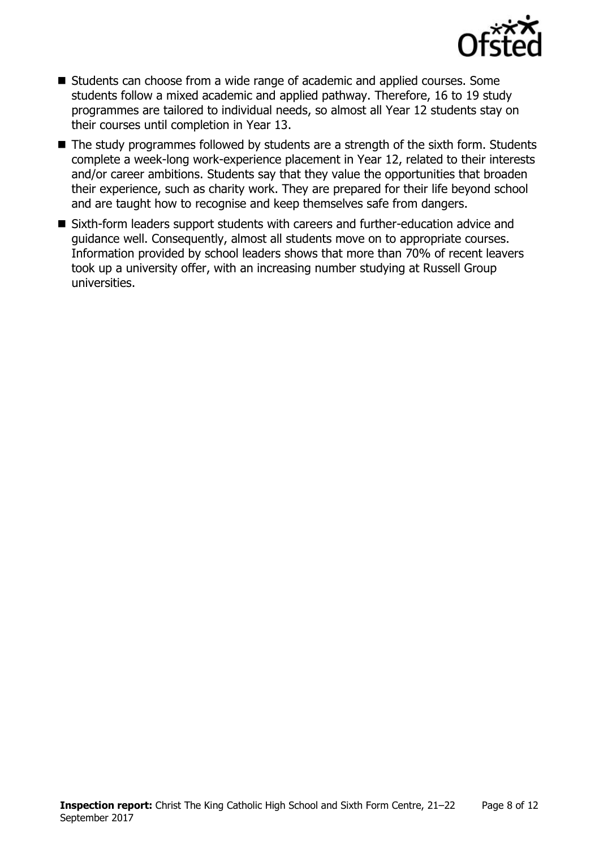

- Students can choose from a wide range of academic and applied courses. Some students follow a mixed academic and applied pathway. Therefore, 16 to 19 study programmes are tailored to individual needs, so almost all Year 12 students stay on their courses until completion in Year 13.
- The study programmes followed by students are a strength of the sixth form. Students complete a week-long work-experience placement in Year 12, related to their interests and/or career ambitions. Students say that they value the opportunities that broaden their experience, such as charity work. They are prepared for their life beyond school and are taught how to recognise and keep themselves safe from dangers.
- Sixth-form leaders support students with careers and further-education advice and guidance well. Consequently, almost all students move on to appropriate courses. Information provided by school leaders shows that more than 70% of recent leavers took up a university offer, with an increasing number studying at Russell Group universities.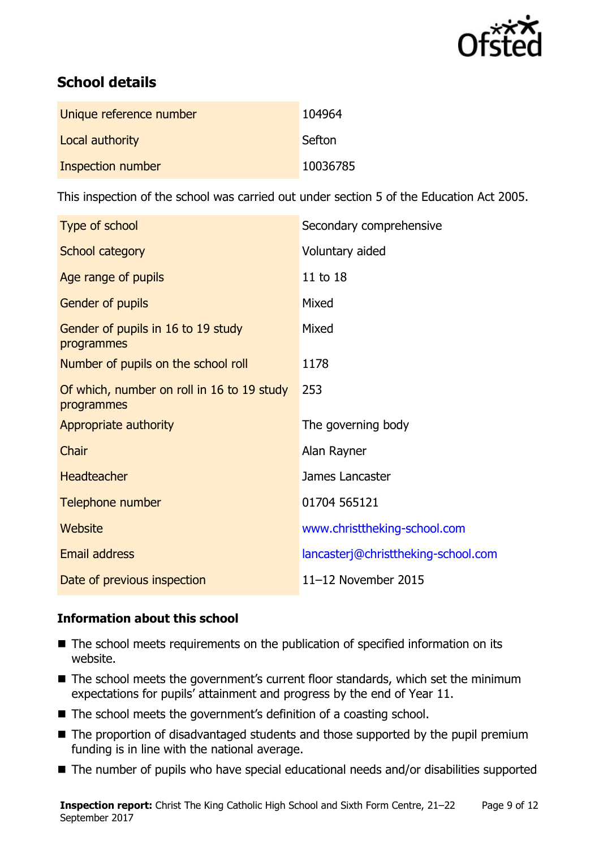

# **School details**

| Unique reference number | 104964   |
|-------------------------|----------|
| Local authority         | Sefton   |
| Inspection number       | 10036785 |

This inspection of the school was carried out under section 5 of the Education Act 2005.

| Type of school                                           | Secondary comprehensive             |
|----------------------------------------------------------|-------------------------------------|
| School category                                          | Voluntary aided                     |
| Age range of pupils                                      | 11 to 18                            |
| Gender of pupils                                         | Mixed                               |
| Gender of pupils in 16 to 19 study<br>programmes         | Mixed                               |
| Number of pupils on the school roll                      | 1178                                |
| Of which, number on roll in 16 to 19 study<br>programmes | 253                                 |
| Appropriate authority                                    | The governing body                  |
| Chair                                                    | Alan Rayner                         |
| <b>Headteacher</b>                                       | James Lancaster                     |
| Telephone number                                         | 01704 565121                        |
| Website                                                  | www.christtheking-school.com        |
| Email address                                            | lancasterj@christtheking-school.com |
| Date of previous inspection                              | 11-12 November 2015                 |

### **Information about this school**

- The school meets requirements on the publication of specified information on its website.
- The school meets the government's current floor standards, which set the minimum expectations for pupils' attainment and progress by the end of Year 11.
- The school meets the government's definition of a coasting school.
- The proportion of disadvantaged students and those supported by the pupil premium funding is in line with the national average.
- The number of pupils who have special educational needs and/or disabilities supported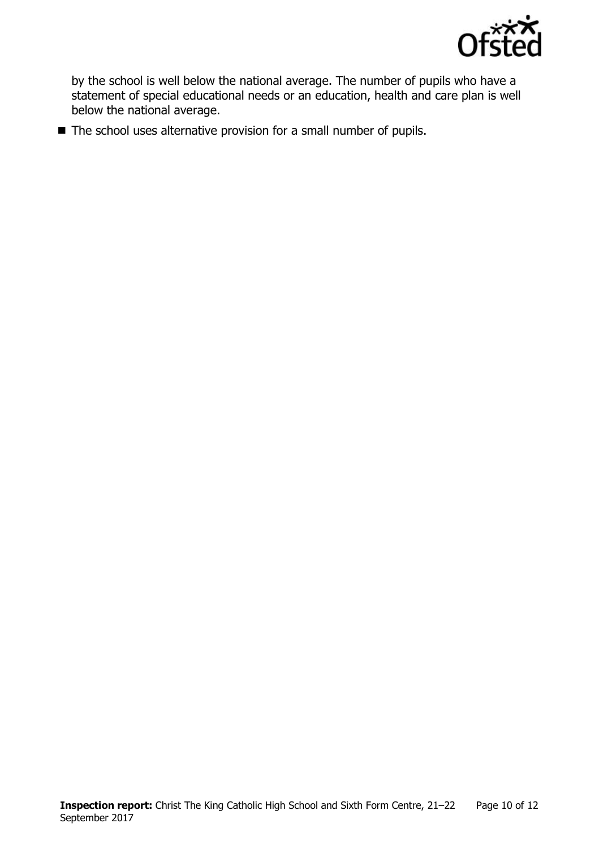

by the school is well below the national average. The number of pupils who have a statement of special educational needs or an education, health and care plan is well below the national average.

■ The school uses alternative provision for a small number of pupils.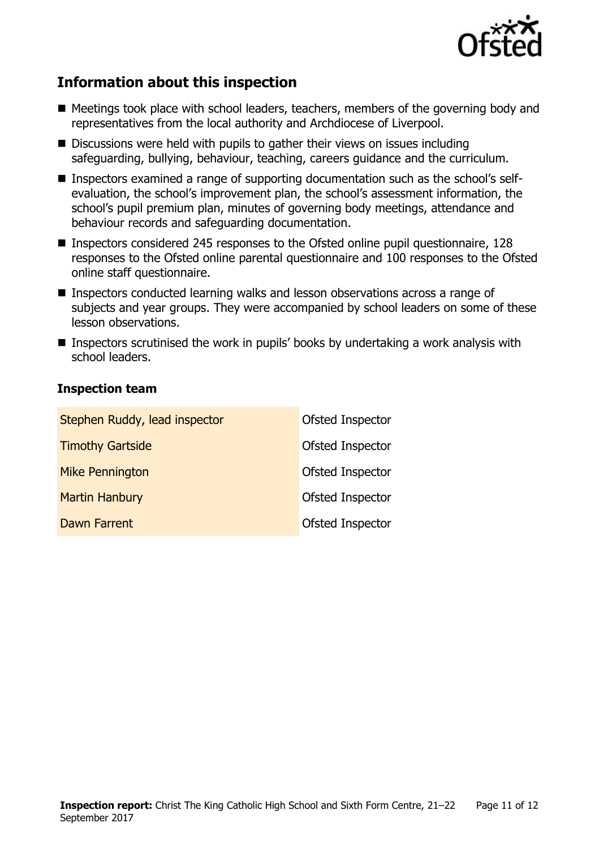

# **Information about this inspection**

- Meetings took place with school leaders, teachers, members of the governing body and representatives from the local authority and Archdiocese of Liverpool.
- Discussions were held with pupils to gather their views on issues including safeguarding, bullying, behaviour, teaching, careers guidance and the curriculum.
- Inspectors examined a range of supporting documentation such as the school's selfevaluation, the school's improvement plan, the school's assessment information, the school's pupil premium plan, minutes of governing body meetings, attendance and behaviour records and safeguarding documentation.
- Inspectors considered 245 responses to the Ofsted online pupil questionnaire, 128 responses to the Ofsted online parental questionnaire and 100 responses to the Ofsted online staff questionnaire.
- Inspectors conducted learning walks and lesson observations across a range of subjects and year groups. They were accompanied by school leaders on some of these lesson observations.
- **Inspectors scrutinised the work in pupils' books by undertaking a work analysis with** school leaders.

#### **Inspection team**

| Stephen Ruddy, lead inspector | <b>Ofsted Inspector</b> |
|-------------------------------|-------------------------|
| <b>Timothy Gartside</b>       | Ofsted Inspector        |
| <b>Mike Pennington</b>        | Ofsted Inspector        |
| <b>Martin Hanbury</b>         | Ofsted Inspector        |
| Dawn Farrent                  | Ofsted Inspector        |